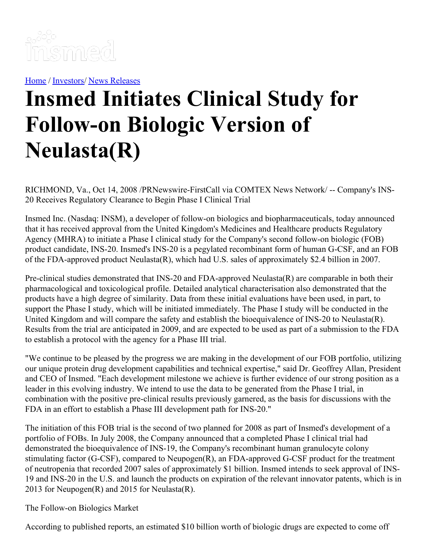

[Home](https://insmed.com/) / [Investors](https://investor.insmed.com/index)/ News [Releases](https://investor.insmed.com/releases)

## **Insmed Initiates Clinical Study for Follow-on Biologic Version of Neulasta(R)**

RICHMOND, Va., Oct 14, 2008 /PRNewswire-FirstCall via COMTEX News Network/ -- Company's INS-20 Receives Regulatory Clearance to Begin Phase I Clinical Trial

Insmed Inc. (Nasdaq: INSM), a developer of follow-on biologics and biopharmaceuticals, today announced that it has received approval from the United Kingdom's Medicines and Healthcare products Regulatory Agency (MHRA) to initiate a Phase I clinical study for the Company's second follow-on biologic (FOB) product candidate, INS-20. Insmed's INS-20 is a pegylated recombinant form of human G-CSF, and an FOB of the FDA-approved product Neulasta(R), which had U.S. sales of approximately \$2.4 billion in 2007.

Pre-clinical studies demonstrated that INS-20 and FDA-approved Neulasta(R) are comparable in both their pharmacological and toxicological profile. Detailed analytical characterisation also demonstrated that the products have a high degree of similarity. Data from these initial evaluations have been used, in part, to support the Phase I study, which will be initiated immediately. The Phase I study will be conducted in the United Kingdom and will compare the safety and establish the bioequivalence of INS-20 to Neulasta(R). Results from the trial are anticipated in 2009, and are expected to be used as part of a submission to the FDA to establish a protocol with the agency for a Phase III trial.

"We continue to be pleased by the progress we are making in the development of our FOB portfolio, utilizing our unique protein drug development capabilities and technical expertise," said Dr. Geoffrey Allan, President and CEO of Insmed. "Each development milestone we achieve is further evidence of our strong position as a leader in this evolving industry. We intend to use the data to be generated from the Phase I trial, in combination with the positive pre-clinical results previously garnered, as the basis for discussions with the FDA in an effort to establish a Phase III development path for INS-20."

The initiation of this FOB trial is the second of two planned for 2008 as part of Insmed's development of a portfolio of FOBs. In July 2008, the Company announced that a completed Phase I clinical trial had demonstrated the bioequivalence of INS-19, the Company's recombinant human granulocyte colony stimulating factor (G-CSF), compared to Neupogen(R), an FDA-approved G-CSF product for the treatment of neutropenia that recorded 2007 sales of approximately \$1 billion. Insmed intends to seek approval of INS-19 and INS-20 in the U.S. and launch the products on expiration of the relevant innovator patents, which is in 2013 for Neupogen(R) and 2015 for Neulasta(R).

The Follow-on Biologics Market

According to published reports, an estimated \$10 billion worth of biologic drugs are expected to come off